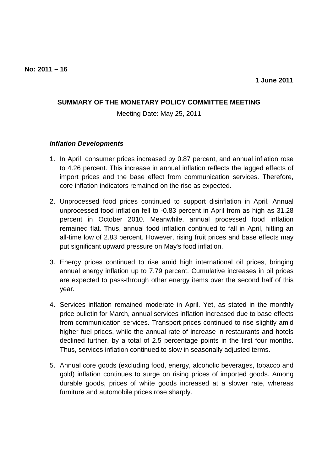## **SUMMARY OF THE MONETARY POLICY COMMITTEE MEETING**

Meeting Date: May 25, 2011

## **Inflation Developments**

- 1. In April, consumer prices increased by 0.87 percent, and annual inflation rose to 4.26 percent. This increase in annual inflation reflects the lagged effects of import prices and the base effect from communication services. Therefore, core inflation indicators remained on the rise as expected.
- 2. Unprocessed food prices continued to support disinflation in April. Annual unprocessed food inflation fell to -0.83 percent in April from as high as 31.28 percent in October 2010. Meanwhile, annual processed food inflation remained flat. Thus, annual food inflation continued to fall in April, hitting an all-time low of 2.83 percent. However, rising fruit prices and base effects may put significant upward pressure on May's food inflation.
- 3. Energy prices continued to rise amid high international oil prices, bringing annual energy inflation up to 7.79 percent. Cumulative increases in oil prices are expected to pass-through other energy items over the second half of this year.
- 4. Services inflation remained moderate in April. Yet, as stated in the monthly price bulletin for March, annual services inflation increased due to base effects from communication services. Transport prices continued to rise slightly amid higher fuel prices, while the annual rate of increase in restaurants and hotels declined further, by a total of 2.5 percentage points in the first four months. Thus, services inflation continued to slow in seasonally adjusted terms.
- 5. Annual core goods (excluding food, energy, alcoholic beverages, tobacco and gold) inflation continues to surge on rising prices of imported goods. Among durable goods, prices of white goods increased at a slower rate, whereas furniture and automobile prices rose sharply.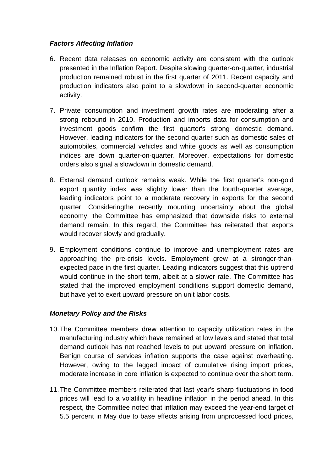## **Factors Affecting Inflation**

- 6. Recent data releases on economic activity are consistent with the outlook presented in the Inflation Report. Despite slowing quarter-on-quarter, industrial production remained robust in the first quarter of 2011. Recent capacity and production indicators also point to a slowdown in second-quarter economic activity.
- 7. Private consumption and investment growth rates are moderating after a strong rebound in 2010. Production and imports data for consumption and investment goods confirm the first quarter's strong domestic demand. However, leading indicators for the second quarter such as domestic sales of automobiles, commercial vehicles and white goods as well as consumption indices are down quarter-on-quarter. Moreover, expectations for domestic orders also signal a slowdown in domestic demand.
- 8. External demand outlook remains weak. While the first quarter's non-gold export quantity index was slightly lower than the fourth-quarter average, leading indicators point to a moderate recovery in exports for the second quarter. Consideringthe recently mounting uncertainty about the global economy, the Committee has emphasized that downside risks to external demand remain. In this regard, the Committee has reiterated that exports would recover slowly and gradually.
- 9. Employment conditions continue to improve and unemployment rates are approaching the pre-crisis levels. Employment grew at a stronger-thanexpected pace in the first quarter. Leading indicators suggest that this uptrend would continue in the short term, albeit at a slower rate. The Committee has stated that the improved employment conditions support domestic demand, but have yet to exert upward pressure on unit labor costs.

## **Monetary Policy and the Risks**

- 10. The Committee members drew attention to capacity utilization rates in the manufacturing industry which have remained at low levels and stated that total demand outlook has not reached levels to put upward pressure on inflation. Benign course of services inflation supports the case against overheating. However, owing to the lagged impact of cumulative rising import prices, moderate increase in core inflation is expected to continue over the short term.
- 11. The Committee members reiterated that last year's sharp fluctuations in food prices will lead to a volatility in headline inflation in the period ahead. In this respect, the Committee noted that inflation may exceed the year-end target of 5.5 percent in May due to base effects arising from unprocessed food prices,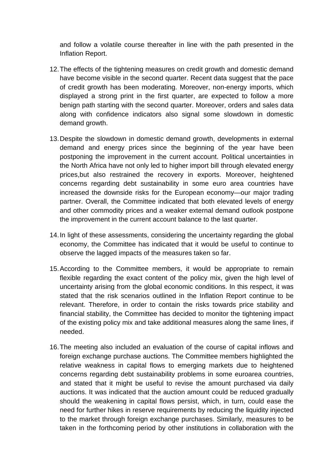and follow a volatile course thereafter in line with the path presented in the Inflation Report.

- 12. The effects of the tightening measures on credit growth and domestic demand have become visible in the second quarter. Recent data suggest that the pace of credit growth has been moderating. Moreover, non-energy imports, which displayed a strong print in the first quarter, are expected to follow a more benign path starting with the second quarter. Moreover, orders and sales data along with confidence indicators also signal some slowdown in domestic demand growth.
- 13. Despite the slowdown in domestic demand growth, developments in external demand and energy prices since the beginning of the year have been postponing the improvement in the current account. Political uncertainties in the North Africa have not only led to higher import bill through elevated energy prices,but also restrained the recovery in exports. Moreover, heightened concerns regarding debt sustainability in some euro area countries have increased the downside risks for the European economy—our major trading partner. Overall, the Committee indicated that both elevated levels of energy and other commodity prices and a weaker external demand outlook postpone the improvement in the current account balance to the last quarter.
- 14. In light of these assessments, considering the uncertainty regarding the global economy, the Committee has indicated that it would be useful to continue to observe the lagged impacts of the measures taken so far.
- 15. According to the Committee members, it would be appropriate to remain flexible regarding the exact content of the policy mix, given the high level of uncertainty arising from the global economic conditions. In this respect, it was stated that the risk scenarios outlined in the Inflation Report continue to be relevant. Therefore, in order to contain the risks towards price stability and financial stability, the Committee has decided to monitor the tightening impact of the existing policy mix and take additional measures along the same lines, if needed.
- 16. The meeting also included an evaluation of the course of capital inflows and foreign exchange purchase auctions. The Committee members highlighted the relative weakness in capital flows to emerging markets due to heightened concerns regarding debt sustainability problems in some euroarea countries, and stated that it might be useful to revise the amount purchased via daily auctions. It was indicated that the auction amount could be reduced gradually should the weakening in capital flows persist, which, in turn, could ease the need for further hikes in reserve requirements by reducing the liquidity injected to the market through foreign exchange purchases. Similarly, measures to be taken in the forthcoming period by other institutions in collaboration with the